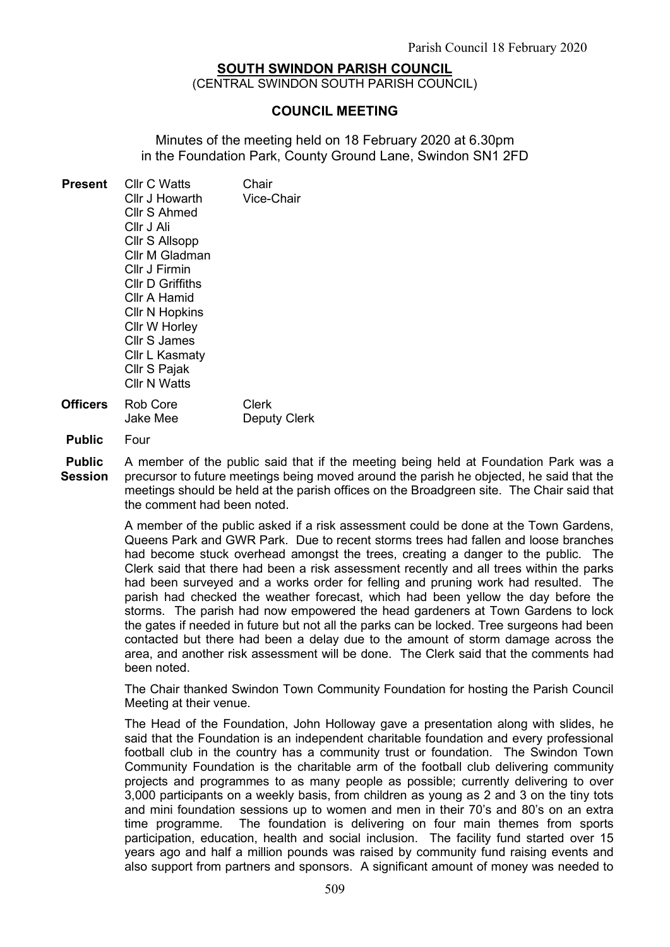## SOUTH SWINDON PARISH COUNCIL

(CENTRAL SWINDON SOUTH PARISH COUNCIL)

#### COUNCIL MEETING

Minutes of the meeting held on 18 February 2020 at 6.30pm in the Foundation Park, County Ground Lane, Swindon SN1 2FD

| <b>Present</b> | Cllr C Watts<br>Cllr J Howarth<br><b>Cllr S Ahmed</b><br>Cllr J Ali<br>Cllr S Allsopp<br>Cllr M Gladman<br>Cllr J Firmin<br>Cllr D Griffiths<br>Cllr A Hamid<br><b>Cllr N Hopkins</b><br>Cllr W Horley<br><b>Cllr S James</b><br>Cllr L Kasmaty | Chair<br><b>Vice-Chair</b> |
|----------------|-------------------------------------------------------------------------------------------------------------------------------------------------------------------------------------------------------------------------------------------------|----------------------------|
|                | Cllr S Pajak<br>Cllr N Watts                                                                                                                                                                                                                    |                            |
| Officers       | Rob Core                                                                                                                                                                                                                                        | Clerk                      |

- Jake Mee Deputy Clerk
- Public Four

Public Session A member of the public said that if the meeting being held at Foundation Park was a precursor to future meetings being moved around the parish he objected, he said that the meetings should be held at the parish offices on the Broadgreen site. The Chair said that the comment had been noted.

> A member of the public asked if a risk assessment could be done at the Town Gardens, Queens Park and GWR Park. Due to recent storms trees had fallen and loose branches had become stuck overhead amongst the trees, creating a danger to the public. The Clerk said that there had been a risk assessment recently and all trees within the parks had been surveyed and a works order for felling and pruning work had resulted. The parish had checked the weather forecast, which had been yellow the day before the storms. The parish had now empowered the head gardeners at Town Gardens to lock the gates if needed in future but not all the parks can be locked. Tree surgeons had been contacted but there had been a delay due to the amount of storm damage across the area, and another risk assessment will be done. The Clerk said that the comments had been noted.

> The Chair thanked Swindon Town Community Foundation for hosting the Parish Council Meeting at their venue.

> The Head of the Foundation, John Holloway gave a presentation along with slides, he said that the Foundation is an independent charitable foundation and every professional football club in the country has a community trust or foundation. The Swindon Town Community Foundation is the charitable arm of the football club delivering community projects and programmes to as many people as possible; currently delivering to over 3,000 participants on a weekly basis, from children as young as 2 and 3 on the tiny tots and mini foundation sessions up to women and men in their 70's and 80's on an extra time programme. The foundation is delivering on four main themes from sports participation, education, health and social inclusion. The facility fund started over 15 years ago and half a million pounds was raised by community fund raising events and also support from partners and sponsors. A significant amount of money was needed to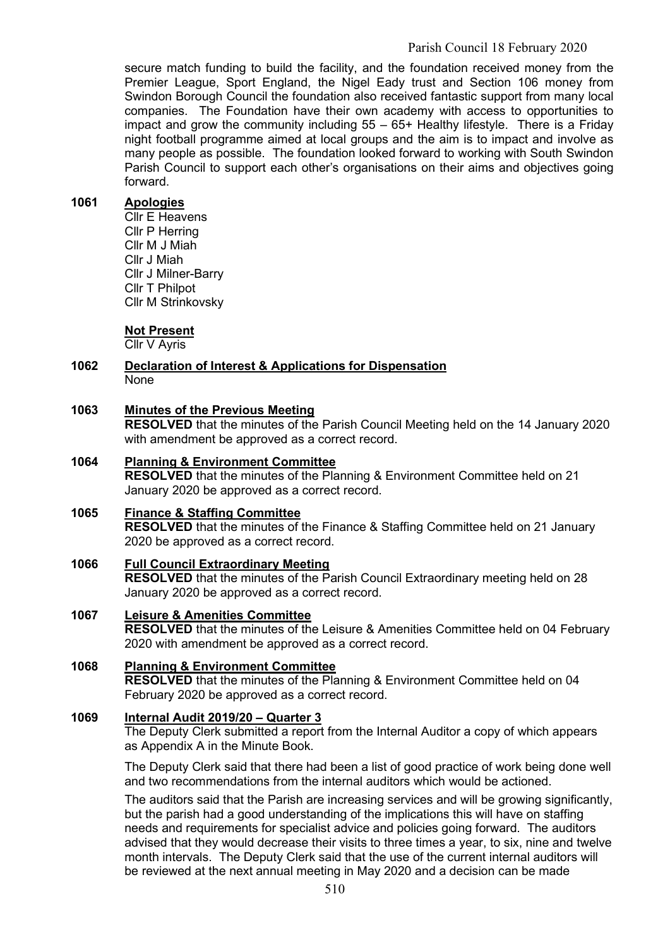secure match funding to build the facility, and the foundation received money from the Premier League, Sport England, the Nigel Eady trust and Section 106 money from Swindon Borough Council the foundation also received fantastic support from many local companies. The Foundation have their own academy with access to opportunities to impact and grow the community including 55 – 65+ Healthy lifestyle. There is a Friday night football programme aimed at local groups and the aim is to impact and involve as many people as possible. The foundation looked forward to working with South Swindon Parish Council to support each other's organisations on their aims and objectives going forward.

## 1061 Apologies

Cllr E Heavens Cllr P Herring Cllr M J Miah Cllr J Miah Cllr J Milner-Barry Cllr T Philpot Cllr M Strinkovsky

#### Not Present

Cllr V Ayris

#### 1062 Declaration of Interest & Applications for Dispensation None

#### 1063 Minutes of the Previous Meeting

RESOLVED that the minutes of the Parish Council Meeting held on the 14 January 2020 with amendment be approved as a correct record.

## 1064 Planning & Environment Committee

RESOLVED that the minutes of the Planning & Environment Committee held on 21 January 2020 be approved as a correct record.

# 1065 Finance & Staffing Committee

RESOLVED that the minutes of the Finance & Staffing Committee held on 21 January 2020 be approved as a correct record.

1066 Full Council Extraordinary Meeting RESOLVED that the minutes of the Parish Council Extraordinary meeting held on 28 January 2020 be approved as a correct record.

# 1067 Leisure & Amenities Committee RESOLVED that the minutes of the Leisure & Amenities Committee held on 04 February 2020 with amendment be approved as a correct record.

1068 Planning & Environment Committee RESOLVED that the minutes of the Planning & Environment Committee held on 04 February 2020 be approved as a correct record.

#### 1069 Internal Audit 2019/20 – Quarter 3

The Deputy Clerk submitted a report from the Internal Auditor a copy of which appears as Appendix A in the Minute Book.

The Deputy Clerk said that there had been a list of good practice of work being done well and two recommendations from the internal auditors which would be actioned.

The auditors said that the Parish are increasing services and will be growing significantly, but the parish had a good understanding of the implications this will have on staffing needs and requirements for specialist advice and policies going forward. The auditors advised that they would decrease their visits to three times a year, to six, nine and twelve month intervals. The Deputy Clerk said that the use of the current internal auditors will be reviewed at the next annual meeting in May 2020 and a decision can be made